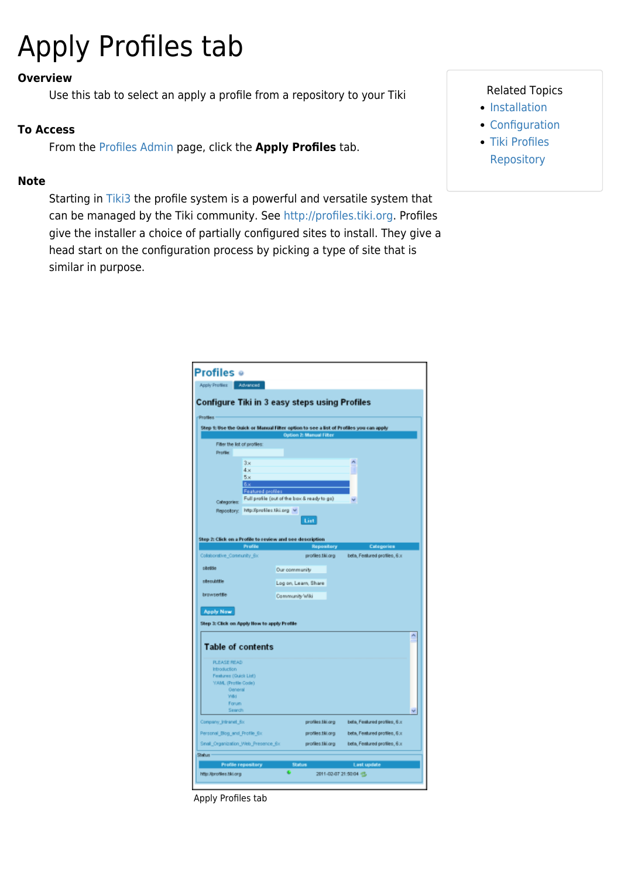# Apply Profiles tab

#### **Overview**

Use this tab to select an apply a profile from a repository to your Tiki

#### **To Access**

From the [Profiles Admin](https://doc.tiki.org/Profiles) page, click the **Apply Profiles** tab.

Г

#### **Note**

Starting in [Tiki3](https://doc.tiki.org/Tiki3) the profile system is a powerful and versatile system that can be managed by the Tiki community. See [http://profiles.tiki.org.](http://profiles.tiki.org) Profiles give the installer a choice of partially configured sites to install. They give a head start on the configuration process by picking a type of site that is similar in purpose.

#### Related Topics

- [Installation](https://doc.tiki.org/Installation)
- [Configuration](https://doc.tiki.org/Configuration)
- [Tiki Profiles](http://profiles.tiki.org) **[Repository](http://profiles.tiki.org)**

| Profiles<br>Step 1: Use the Quick or Manual Filter option to see a list of Profiles you can apply<br><b>Option 2: Manual Filter</b><br>Filter the list of profiles:<br>Profile:<br>З×<br>4.81<br>5x<br>6x<br><b>Featured profiles</b><br>Full profile (out of the box & ready to go)<br>Categories:<br>Repository: http://profiles.tiki.org v<br>List<br>Profile<br><b>Repository</b><br>Categories<br>beta, Featured profiles, 6.x<br>profiles tiki org<br>sitettie<br>Our community<br>stecubitie<br>Log on, Learn, Share<br>browserttle<br>Community Wiki<br><b>Apply Now</b><br><b>Table of contents</b><br><b>PLEASE READ</b><br>Introduction<br>Features (Quick List)<br>YAM, (Profile Code)<br><b>Oeneral</b><br>Wild-<br>Forum<br>Search<br>beta, Featured profiles, 6.x<br>profiles tiki ang<br>beta, Featured profiles, 6.x<br>profiles tiki.org<br>profiles tiki org<br>beta, Featured profiles, 6.x |        |                    | Configure Tiki in 3 easy steps using Profiles |                    |
|-----------------------------------------------------------------------------------------------------------------------------------------------------------------------------------------------------------------------------------------------------------------------------------------------------------------------------------------------------------------------------------------------------------------------------------------------------------------------------------------------------------------------------------------------------------------------------------------------------------------------------------------------------------------------------------------------------------------------------------------------------------------------------------------------------------------------------------------------------------------------------------------------------------------|--------|--------------------|-----------------------------------------------|--------------------|
|                                                                                                                                                                                                                                                                                                                                                                                                                                                                                                                                                                                                                                                                                                                                                                                                                                                                                                                 |        |                    |                                               |                    |
|                                                                                                                                                                                                                                                                                                                                                                                                                                                                                                                                                                                                                                                                                                                                                                                                                                                                                                                 |        |                    |                                               |                    |
|                                                                                                                                                                                                                                                                                                                                                                                                                                                                                                                                                                                                                                                                                                                                                                                                                                                                                                                 |        |                    |                                               |                    |
|                                                                                                                                                                                                                                                                                                                                                                                                                                                                                                                                                                                                                                                                                                                                                                                                                                                                                                                 |        |                    |                                               |                    |
| Step 2: Click on a Profile to review and see description<br>Colaborative_Community_6x<br>Step 3: Click on Apply How to apply Profile<br>Company_intranet_6x<br>Personal_Blog_and_Profile_6x<br>Small_Organization_Web_Presence_6x                                                                                                                                                                                                                                                                                                                                                                                                                                                                                                                                                                                                                                                                               |        |                    |                                               |                    |
|                                                                                                                                                                                                                                                                                                                                                                                                                                                                                                                                                                                                                                                                                                                                                                                                                                                                                                                 |        |                    |                                               |                    |
|                                                                                                                                                                                                                                                                                                                                                                                                                                                                                                                                                                                                                                                                                                                                                                                                                                                                                                                 |        |                    |                                               |                    |
|                                                                                                                                                                                                                                                                                                                                                                                                                                                                                                                                                                                                                                                                                                                                                                                                                                                                                                                 |        |                    |                                               |                    |
|                                                                                                                                                                                                                                                                                                                                                                                                                                                                                                                                                                                                                                                                                                                                                                                                                                                                                                                 |        |                    |                                               |                    |
|                                                                                                                                                                                                                                                                                                                                                                                                                                                                                                                                                                                                                                                                                                                                                                                                                                                                                                                 |        |                    |                                               |                    |
|                                                                                                                                                                                                                                                                                                                                                                                                                                                                                                                                                                                                                                                                                                                                                                                                                                                                                                                 |        |                    |                                               |                    |
|                                                                                                                                                                                                                                                                                                                                                                                                                                                                                                                                                                                                                                                                                                                                                                                                                                                                                                                 |        |                    |                                               |                    |
|                                                                                                                                                                                                                                                                                                                                                                                                                                                                                                                                                                                                                                                                                                                                                                                                                                                                                                                 |        |                    |                                               |                    |
|                                                                                                                                                                                                                                                                                                                                                                                                                                                                                                                                                                                                                                                                                                                                                                                                                                                                                                                 |        |                    |                                               |                    |
|                                                                                                                                                                                                                                                                                                                                                                                                                                                                                                                                                                                                                                                                                                                                                                                                                                                                                                                 |        |                    |                                               |                    |
|                                                                                                                                                                                                                                                                                                                                                                                                                                                                                                                                                                                                                                                                                                                                                                                                                                                                                                                 |        |                    |                                               |                    |
|                                                                                                                                                                                                                                                                                                                                                                                                                                                                                                                                                                                                                                                                                                                                                                                                                                                                                                                 |        |                    |                                               |                    |
|                                                                                                                                                                                                                                                                                                                                                                                                                                                                                                                                                                                                                                                                                                                                                                                                                                                                                                                 |        |                    |                                               |                    |
|                                                                                                                                                                                                                                                                                                                                                                                                                                                                                                                                                                                                                                                                                                                                                                                                                                                                                                                 |        |                    |                                               |                    |
|                                                                                                                                                                                                                                                                                                                                                                                                                                                                                                                                                                                                                                                                                                                                                                                                                                                                                                                 |        |                    |                                               |                    |
|                                                                                                                                                                                                                                                                                                                                                                                                                                                                                                                                                                                                                                                                                                                                                                                                                                                                                                                 |        |                    |                                               |                    |
|                                                                                                                                                                                                                                                                                                                                                                                                                                                                                                                                                                                                                                                                                                                                                                                                                                                                                                                 |        |                    |                                               |                    |
|                                                                                                                                                                                                                                                                                                                                                                                                                                                                                                                                                                                                                                                                                                                                                                                                                                                                                                                 |        |                    |                                               |                    |
|                                                                                                                                                                                                                                                                                                                                                                                                                                                                                                                                                                                                                                                                                                                                                                                                                                                                                                                 |        |                    |                                               |                    |
|                                                                                                                                                                                                                                                                                                                                                                                                                                                                                                                                                                                                                                                                                                                                                                                                                                                                                                                 |        |                    |                                               |                    |
|                                                                                                                                                                                                                                                                                                                                                                                                                                                                                                                                                                                                                                                                                                                                                                                                                                                                                                                 |        |                    |                                               |                    |
|                                                                                                                                                                                                                                                                                                                                                                                                                                                                                                                                                                                                                                                                                                                                                                                                                                                                                                                 |        |                    |                                               |                    |
|                                                                                                                                                                                                                                                                                                                                                                                                                                                                                                                                                                                                                                                                                                                                                                                                                                                                                                                 |        |                    |                                               |                    |
|                                                                                                                                                                                                                                                                                                                                                                                                                                                                                                                                                                                                                                                                                                                                                                                                                                                                                                                 |        |                    |                                               |                    |
|                                                                                                                                                                                                                                                                                                                                                                                                                                                                                                                                                                                                                                                                                                                                                                                                                                                                                                                 |        |                    |                                               |                    |
|                                                                                                                                                                                                                                                                                                                                                                                                                                                                                                                                                                                                                                                                                                                                                                                                                                                                                                                 |        |                    |                                               |                    |
|                                                                                                                                                                                                                                                                                                                                                                                                                                                                                                                                                                                                                                                                                                                                                                                                                                                                                                                 |        |                    |                                               |                    |
|                                                                                                                                                                                                                                                                                                                                                                                                                                                                                                                                                                                                                                                                                                                                                                                                                                                                                                                 |        |                    |                                               |                    |
|                                                                                                                                                                                                                                                                                                                                                                                                                                                                                                                                                                                                                                                                                                                                                                                                                                                                                                                 |        |                    |                                               |                    |
|                                                                                                                                                                                                                                                                                                                                                                                                                                                                                                                                                                                                                                                                                                                                                                                                                                                                                                                 |        |                    |                                               |                    |
|                                                                                                                                                                                                                                                                                                                                                                                                                                                                                                                                                                                                                                                                                                                                                                                                                                                                                                                 | Shahun | Profile repository | <b>Status</b>                                 | <b>Last update</b> |

Apply Profiles tab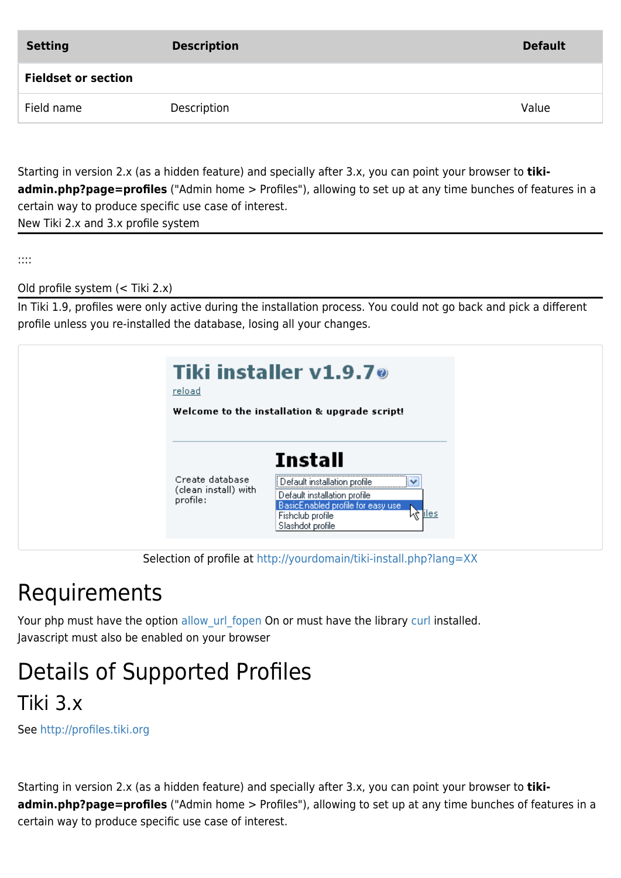| <b>Setting</b>             | <b>Description</b> | <b>Default</b> |
|----------------------------|--------------------|----------------|
| <b>Fieldset or section</b> |                    |                |
| Field name                 | Description        | Value          |
|                            |                    |                |

Starting in version 2.x (as a hidden feature) and specially after 3.x, you can point your browser to **tikiadmin.php?page=profiles** ("Admin home > Profiles"), allowing to set up at any time bunches of features in a certain way to produce specific use case of interest.

New Tiki 2.x and 3.x profile system

::::

Old profile system (< Tiki 2.x)

In Tiki 1.9, profiles were only active during the installation process. You could not go back and pick a different profile unless you re-installed the database, losing all your changes.

| reload                                              | Tiki installer v1.9.7 <sup>o</sup><br>Welcome to the installation & upgrade script!                                                                                    |
|-----------------------------------------------------|------------------------------------------------------------------------------------------------------------------------------------------------------------------------|
| Create database<br>(clean install) with<br>profile: | <b>Install</b><br>Default installation profile<br>Default installation profile<br>BasicEnabled profile for easy use<br>∧èliles<br>Fishclub profile<br>Slashdot profile |

Selection of profile at<http://yourdomain/tiki-install.php?lang=XX>

### Requirements

Your php must have the option allow url fopen On or must have the library [curl](http://www.php.net/manual/en/book.curl.php) installed. Javascript must also be enabled on your browser

### Details of Supported Profiles

Tiki 3.x

See <http://profiles.tiki.org>

Starting in version 2.x (as a hidden feature) and specially after 3.x, you can point your browser to **tikiadmin.php?page=profiles** ("Admin home > Profiles"), allowing to set up at any time bunches of features in a certain way to produce specific use case of interest.